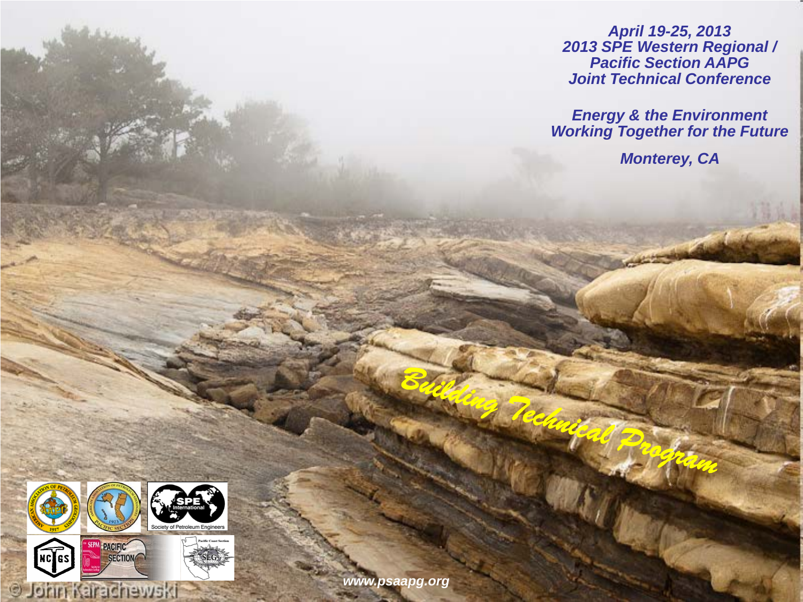*April 19-25, 2013 2013 SPE Western Regional / Pacific Section AAPG Joint Technical Conference*

*Energy & the Environment Working Together for the Future*

*Monterey, CA* 



**O John Karachewski** 

*www.psaapg.org*